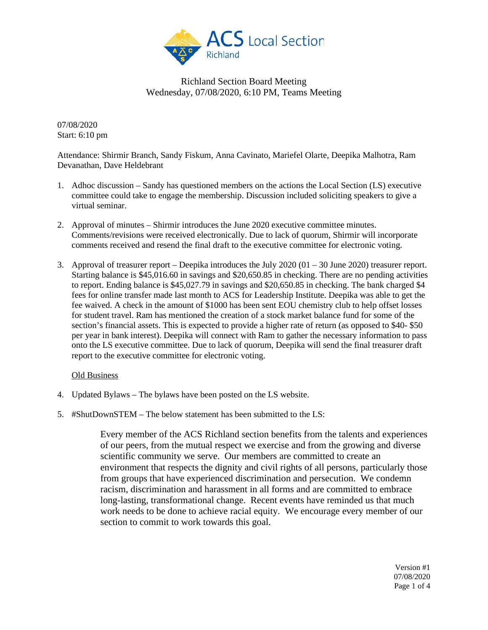

07/08/2020 Start: 6:10 pm

Attendance: Shirmir Branch, Sandy Fiskum, Anna Cavinato, Mariefel Olarte, Deepika Malhotra, Ram Devanathan, Dave Heldebrant

- 1. Adhoc discussion Sandy has questioned members on the actions the Local Section (LS) executive committee could take to engage the membership. Discussion included soliciting speakers to give a virtual seminar.
- 2. Approval of minutes Shirmir introduces the June 2020 executive committee minutes. Comments/revisions were received electronically. Due to lack of quorum, Shirmir will incorporate comments received and resend the final draft to the executive committee for electronic voting.
- 3. Approval of treasurer report Deepika introduces the July 2020 (01 30 June 2020) treasurer report. Starting balance is \$45,016.60 in savings and \$20,650.85 in checking. There are no pending activities to report. Ending balance is \$45,027.79 in savings and \$20,650.85 in checking. The bank charged \$4 fees for online transfer made last month to ACS for Leadership Institute. Deepika was able to get the fee waived. A check in the amount of \$1000 has been sent EOU chemistry club to help offset losses for student travel. Ram has mentioned the creation of a stock market balance fund for some of the section's financial assets. This is expected to provide a higher rate of return (as opposed to \$40- \$50 per year in bank interest). Deepika will connect with Ram to gather the necessary information to pass onto the LS executive committee. Due to lack of quorum, Deepika will send the final treasurer draft report to the executive committee for electronic voting.

### Old Business

- 4. Updated Bylaws The bylaws have been posted on the LS website.
- 5. #ShutDownSTEM The below statement has been submitted to the LS:

Every member of the ACS Richland section benefits from the talents and experiences of our peers, from the mutual respect we exercise and from the growing and diverse scientific community we serve. Our members are committed to create an environment that respects the dignity and civil rights of all persons, particularly those from groups that have experienced discrimination and persecution. We condemn racism, discrimination and harassment in all forms and are committed to embrace long-lasting, transformational change. Recent events have reminded us that much work needs to be done to achieve racial equity. We encourage every member of our section to commit to work towards this goal.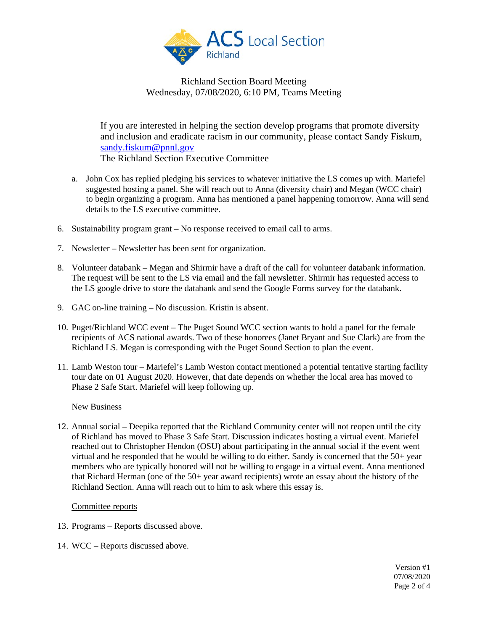

If you are interested in helping the section develop programs that promote diversity and inclusion and eradicate racism in our community, please contact Sandy Fiskum, [sandy.fiskum@pnnl.gov](mailto:sandy.fiskum@pnnl.gov) The Richland Section Executive Committee

- a. John Cox has replied pledging his services to whatever initiative the LS comes up with. Mariefel suggested hosting a panel. She will reach out to Anna (diversity chair) and Megan (WCC chair) to begin organizing a program. Anna has mentioned a panel happening tomorrow. Anna will send details to the LS executive committee.
- 6. Sustainability program grant No response received to email call to arms.
- 7. Newsletter Newsletter has been sent for organization.
- 8. Volunteer databank Megan and Shirmir have a draft of the call for volunteer databank information. The request will be sent to the LS via email and the fall newsletter. Shirmir has requested access to the LS google drive to store the databank and send the Google Forms survey for the databank.
- 9. GAC on-line training No discussion. Kristin is absent.
- 10. Puget/Richland WCC event The Puget Sound WCC section wants to hold a panel for the female recipients of ACS national awards. Two of these honorees (Janet Bryant and Sue Clark) are from the Richland LS. Megan is corresponding with the Puget Sound Section to plan the event.
- 11. Lamb Weston tour Mariefel's Lamb Weston contact mentioned a potential tentative starting facility tour date on 01 August 2020. However, that date depends on whether the local area has moved to Phase 2 Safe Start. Mariefel will keep following up.

#### New Business

12. Annual social – Deepika reported that the Richland Community center will not reopen until the city of Richland has moved to Phase 3 Safe Start. Discussion indicates hosting a virtual event. Mariefel reached out to Christopher Hendon (OSU) about participating in the annual social if the event went virtual and he responded that he would be willing to do either. Sandy is concerned that the 50+ year members who are typically honored will not be willing to engage in a virtual event. Anna mentioned that Richard Herman (one of the 50+ year award recipients) wrote an essay about the history of the Richland Section. Anna will reach out to him to ask where this essay is.

#### Committee reports

- 13. Programs Reports discussed above.
- 14. WCC Reports discussed above.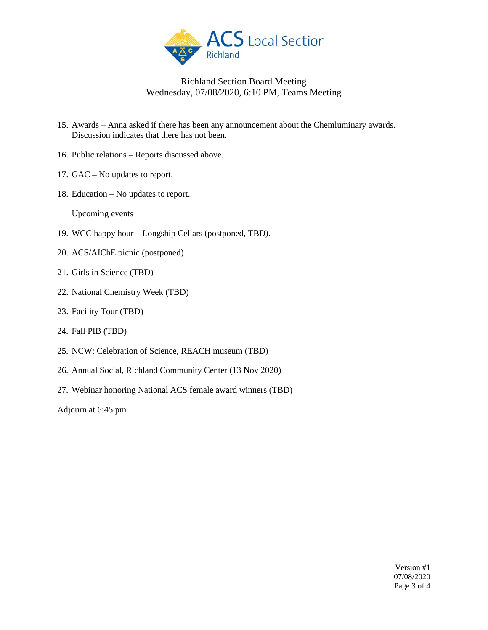

- 15. Awards Anna asked if there has been any announcement about the Chemluminary awards. Discussion indicates that there has not been.
- 16. Public relations Reports discussed above.
- 17. GAC No updates to report.
- 18. Education No updates to report.

#### Upcoming events

- 19. WCC happy hour Longship Cellars (postponed, TBD).
- 20. ACS/AIChE picnic (postponed)
- 21. Girls in Science (TBD)
- 22. National Chemistry Week (TBD)
- 23. Facility Tour (TBD)
- 24. Fall PIB (TBD)
- 25. NCW: Celebration of Science, REACH museum (TBD)
- 26. Annual Social, Richland Community Center (13 Nov 2020)
- 27. Webinar honoring National ACS female award winners (TBD)

Adjourn at 6:45 pm